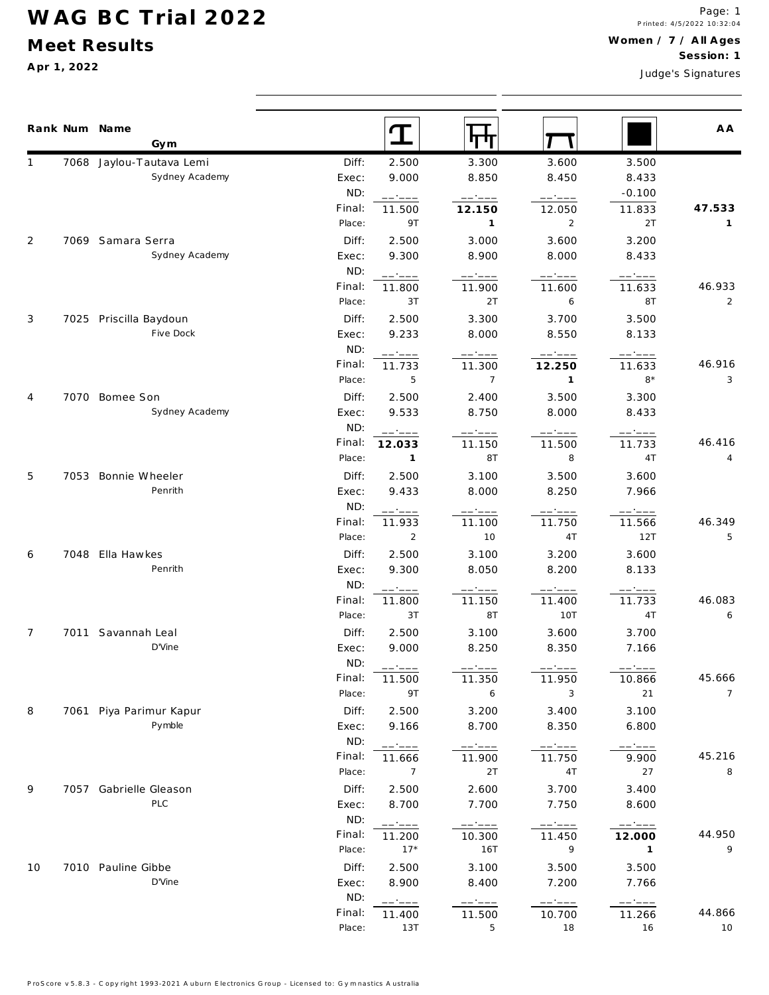## **WAG BC Trial 2022**

#### **M eet Results**

**A pr 1, 2022**

|                |      | Rank Num Name<br>Gym           |                |                        | ग†ग              |                                                                                                                                                                                                                                                                                                                                                                                                                                                                                                           |                   | A A            |
|----------------|------|--------------------------------|----------------|------------------------|------------------|-----------------------------------------------------------------------------------------------------------------------------------------------------------------------------------------------------------------------------------------------------------------------------------------------------------------------------------------------------------------------------------------------------------------------------------------------------------------------------------------------------------|-------------------|----------------|
|                |      | 7068 Jaylou-Tautava Lemi       | Diff:          | 2.500                  | 3.300            | 3.600                                                                                                                                                                                                                                                                                                                                                                                                                                                                                                     | 3.500             |                |
|                |      | Sydney Academy                 | Exec:          | 9.000                  | 8.850            | 8.450                                                                                                                                                                                                                                                                                                                                                                                                                                                                                                     | 8.433             |                |
|                |      |                                | ND:            | ------                 | ------           | ------                                                                                                                                                                                                                                                                                                                                                                                                                                                                                                    | $-0.100$          |                |
|                |      |                                | Final:         | 11.500                 | 12.150           | 12.050                                                                                                                                                                                                                                                                                                                                                                                                                                                                                                    | 11.833            | 47.533         |
|                |      |                                | Place:         | 9T                     | $\mathbf{1}$     | $\overline{2}$                                                                                                                                                                                                                                                                                                                                                                                                                                                                                            | 2T                | 1              |
| 2              |      | 7069 Samara Serra              | Diff:          | 2.500                  | 3.000            | 3.600                                                                                                                                                                                                                                                                                                                                                                                                                                                                                                     | 3.200             |                |
|                |      | Sydney Academy                 | Exec:          | 9.300                  | 8.900            | 8.000                                                                                                                                                                                                                                                                                                                                                                                                                                                                                                     | 8.433             |                |
|                |      |                                | ND:            | ------                 | -----            | $\begin{tabular}{ll} \multicolumn{2}{c}{\textbf{---}} & \multicolumn{2}{c}{\textbf{---}} & \multicolumn{2}{c}{\textbf{---}} & \multicolumn{2}{c}{\textbf{---}} & \multicolumn{2}{c}{\textbf{---}} & \multicolumn{2}{c}{\textbf{---}} & \multicolumn{2}{c}{\textbf{---}} & \multicolumn{2}{c}{\textbf{---}} & \multicolumn{2}{c}{\textbf{---}} & \multicolumn{2}{c}{\textbf{---}} & \multicolumn{2}{c}{\textbf{---}} & \multicolumn{2}{c}{\textbf{---}} & \multicolumn{2}{c}{\textbf{---}} & \multicolumn$ | -----             |                |
|                |      |                                | Final:         | 11.800                 | 11.900           | 11.600                                                                                                                                                                                                                                                                                                                                                                                                                                                                                                    | 11.633            | 46.933         |
|                |      |                                | Place:         | 3T                     | 2T               | 6                                                                                                                                                                                                                                                                                                                                                                                                                                                                                                         | 8T                | 2              |
| 3              |      | 7025 Priscilla Baydoun         | Diff:          | 2.500                  | 3.300            | 3.700                                                                                                                                                                                                                                                                                                                                                                                                                                                                                                     | 3.500             |                |
|                |      | Five Dock                      | Exec:          | 9.233                  | 8.000            | 8.550                                                                                                                                                                                                                                                                                                                                                                                                                                                                                                     | 8.133             |                |
|                |      |                                | ND:            | ------                 |                  | ------                                                                                                                                                                                                                                                                                                                                                                                                                                                                                                    | -----             |                |
|                |      |                                | Final:         | 11.733                 | 11.300           | 12.250                                                                                                                                                                                                                                                                                                                                                                                                                                                                                                    | 11.633            | 46.916         |
|                |      |                                | Place:         | 5                      | $\overline{7}$   | $\mathbf{1}$                                                                                                                                                                                                                                                                                                                                                                                                                                                                                              | $8*$              | 3              |
| 4              |      | 7070 Bomee Son                 | Diff:          | 2.500                  | 2.400            | 3.500                                                                                                                                                                                                                                                                                                                                                                                                                                                                                                     | 3.300             |                |
|                |      | Sydney Academy                 | Exec:          | 9.533                  | 8.750            | 8.000                                                                                                                                                                                                                                                                                                                                                                                                                                                                                                     | 8.433             |                |
|                |      |                                | ND:<br>Final:  | -----                  | -----            | —————                                                                                                                                                                                                                                                                                                                                                                                                                                                                                                     | ------            | 46.416         |
|                |      |                                | Place:         | 12.033<br>$\mathbf{1}$ | 11.150<br>8T     | 11.500<br>8                                                                                                                                                                                                                                                                                                                                                                                                                                                                                               | 11.733<br>4T      | 4              |
|                |      |                                |                |                        |                  |                                                                                                                                                                                                                                                                                                                                                                                                                                                                                                           |                   |                |
| 5              |      | 7053 Bonnie Wheeler<br>Penrith | Diff:<br>Exec: | 2.500<br>9.433         | 3.100<br>8.000   | 3.500<br>8.250                                                                                                                                                                                                                                                                                                                                                                                                                                                                                            | 3.600<br>7.966    |                |
|                |      |                                | ND:            |                        |                  |                                                                                                                                                                                                                                                                                                                                                                                                                                                                                                           |                   |                |
|                |      |                                | Final:         | ------<br>11.933       | ------<br>11.100 | ------<br>11.750                                                                                                                                                                                                                                                                                                                                                                                                                                                                                          | ------<br>11.566  | 46.349         |
|                |      |                                | Place:         | 2                      | 10               | 4 T                                                                                                                                                                                                                                                                                                                                                                                                                                                                                                       | 12T               | 5              |
| 6              |      | 7048 Ella Hawkes               | Diff:          | 2.500                  | 3.100            | 3.200                                                                                                                                                                                                                                                                                                                                                                                                                                                                                                     | 3.600             |                |
|                |      | Penrith                        | Exec:          | 9.300                  | 8.050            | 8.200                                                                                                                                                                                                                                                                                                                                                                                                                                                                                                     | 8.133             |                |
|                |      |                                | ND:            | ------                 | ------           | ------                                                                                                                                                                                                                                                                                                                                                                                                                                                                                                    | ------            |                |
|                |      |                                | Final:         | 11.800                 | 11.150           | 11.400                                                                                                                                                                                                                                                                                                                                                                                                                                                                                                    | 11.733            | 46.083         |
|                |      |                                | Place:         | 3T                     | 8T               | 10T                                                                                                                                                                                                                                                                                                                                                                                                                                                                                                       | 4T                | 6              |
| $\overline{7}$ | 7011 | Savannah Leal                  | Diff:          | 2.500                  | 3.100            | 3.600                                                                                                                                                                                                                                                                                                                                                                                                                                                                                                     | 3.700             |                |
|                |      | D'Vine                         | Exec:          | 9.000                  | 8.250            | 8.350                                                                                                                                                                                                                                                                                                                                                                                                                                                                                                     | 7.166             |                |
|                |      |                                | ND:            |                        |                  |                                                                                                                                                                                                                                                                                                                                                                                                                                                                                                           |                   |                |
|                |      |                                | Final:         | 11.500                 | 11.350           | 11.950                                                                                                                                                                                                                                                                                                                                                                                                                                                                                                    | 10.866            | 45.666         |
|                |      |                                | Place:         | 9T                     | 6                | 3                                                                                                                                                                                                                                                                                                                                                                                                                                                                                                         | 21                | $\overline{7}$ |
| 8              |      | 7061 Piya Parimur Kapur        | Diff:          | 2.500                  | 3.200            | 3.400                                                                                                                                                                                                                                                                                                                                                                                                                                                                                                     | 3.100             |                |
|                |      | Pymble                         | Exec:          | 9.166                  | 8.700            | 8.350                                                                                                                                                                                                                                                                                                                                                                                                                                                                                                     | 6.800             |                |
|                |      |                                | ND:            | ------                 | ------           | $-- - - -$                                                                                                                                                                                                                                                                                                                                                                                                                                                                                                | $--- - - - -$     |                |
|                |      |                                | Final:         | 11.666                 | 11.900           | 11.750                                                                                                                                                                                                                                                                                                                                                                                                                                                                                                    | 9.900             | 45.216         |
|                |      |                                | Place:         | $\overline{7}$         | 2T               | 4T                                                                                                                                                                                                                                                                                                                                                                                                                                                                                                        | 27                | 8              |
| 9              |      | 7057 Gabrielle Gleason         | Diff:          | 2.500                  | 2.600            | 3.700                                                                                                                                                                                                                                                                                                                                                                                                                                                                                                     | 3.400             |                |
|                |      | PLC                            | Exec:          | 8.700                  | 7.700            | 7.750                                                                                                                                                                                                                                                                                                                                                                                                                                                                                                     | 8.600             |                |
|                |      |                                | ND:            | ------                 | -----            |                                                                                                                                                                                                                                                                                                                                                                                                                                                                                                           | ------            |                |
|                |      |                                | Final:         | 11.200                 | 10.300           | 11.450                                                                                                                                                                                                                                                                                                                                                                                                                                                                                                    | 12.000            | 44.950         |
|                |      |                                | Place:         | $17*$                  | 16T              | 9                                                                                                                                                                                                                                                                                                                                                                                                                                                                                                         | $\mathbf{1}$      | 9              |
| 10             |      | 7010 Pauline Gibbe             | Diff:          | 2.500                  | 3.100            | 3.500                                                                                                                                                                                                                                                                                                                                                                                                                                                                                                     | 3.500             |                |
|                |      | D'Vine                         | Exec:          | 8.900                  | 8.400            | 7.200                                                                                                                                                                                                                                                                                                                                                                                                                                                                                                     | 7.766             |                |
|                |      |                                | ND:            | ------                 | ------           | ------                                                                                                                                                                                                                                                                                                                                                                                                                                                                                                    | $--- \cdot --- -$ |                |
|                |      |                                | Final:         | 11.400                 | 11.500           | 10.700                                                                                                                                                                                                                                                                                                                                                                                                                                                                                                    | 11.266            | 44.866         |
|                |      |                                | Place:         | 13T                    | 5                | 18                                                                                                                                                                                                                                                                                                                                                                                                                                                                                                        | 16                | 10             |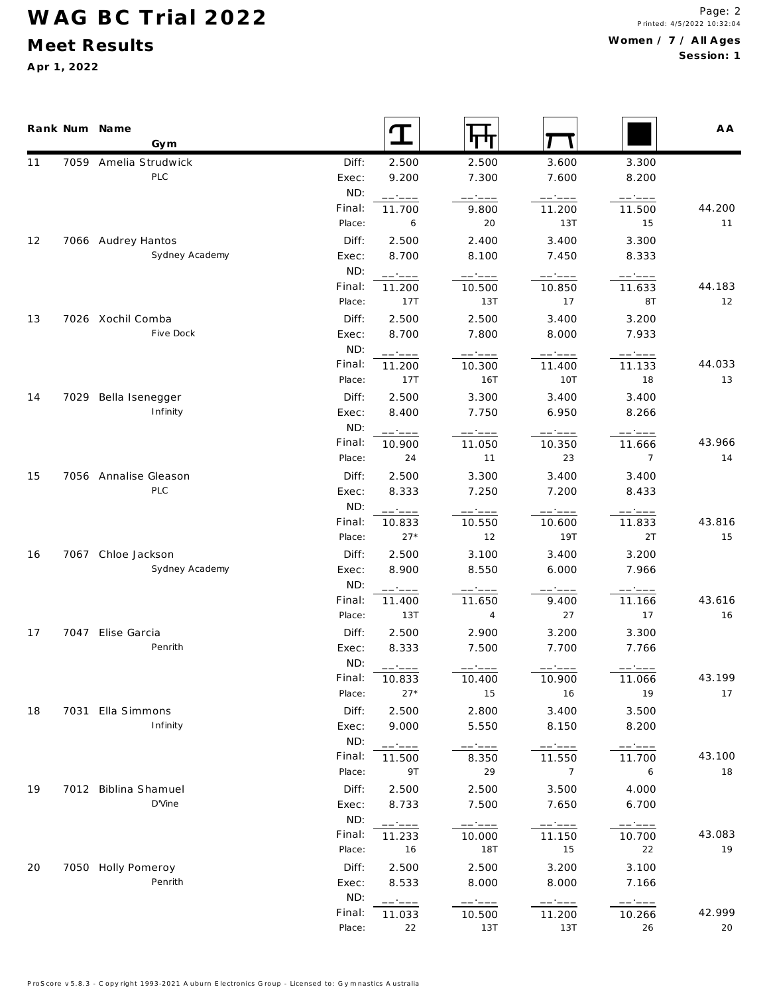## **WAG BC Trial 2022**

### **M eet Results**

**A pr 1, 2022**

|    | Rank Num Name<br>Gym  |                  |                  |                                                                                                                                                                                                                                                                                                                                                                   |                 |                                                         | A A          |
|----|-----------------------|------------------|------------------|-------------------------------------------------------------------------------------------------------------------------------------------------------------------------------------------------------------------------------------------------------------------------------------------------------------------------------------------------------------------|-----------------|---------------------------------------------------------|--------------|
| 11 | 7059 Amelia Strudwick | Diff:            | 2.500            | 2.500                                                                                                                                                                                                                                                                                                                                                             | 3.600           | 3.300                                                   |              |
|    | PLC                   | Exec:            | 9.200            | 7.300                                                                                                                                                                                                                                                                                                                                                             | 7.600           | 8.200                                                   |              |
|    |                       | ND:              | ------           | -----                                                                                                                                                                                                                                                                                                                                                             | ------          | ------                                                  |              |
|    |                       | Final:           | 11.700           | 9.800                                                                                                                                                                                                                                                                                                                                                             | 11.200          | 11.500                                                  | 44.200       |
|    |                       | Place:           | 6                | 20                                                                                                                                                                                                                                                                                                                                                                | 13T             | 15                                                      | 11           |
| 12 | 7066 Audrey Hantos    | Diff:            | 2.500            | 2.400                                                                                                                                                                                                                                                                                                                                                             | 3.400           | 3.300                                                   |              |
|    | Sydney Academy        | Exec:            | 8.700            | 8.100                                                                                                                                                                                                                                                                                                                                                             | 7.450           | 8.333                                                   |              |
|    |                       | ND:              | ------           | $\begin{tabular}{cc} - & - & - \\ \hline \end{tabular}$                                                                                                                                                                                                                                                                                                           | ------          | $\begin{tabular}{cc} - & - & - \\ \hline \end{tabular}$ |              |
|    |                       | Final:           | 11.200           | 10.500                                                                                                                                                                                                                                                                                                                                                            | 10.850          | 11.633                                                  | 44.183       |
|    |                       | Place:           | 17T              | 13T                                                                                                                                                                                                                                                                                                                                                               | 17              | 8T                                                      | 12           |
| 13 | 7026 Xochil Comba     | Diff:            | 2.500            | 2.500                                                                                                                                                                                                                                                                                                                                                             | 3.400           | 3.200                                                   |              |
|    | Five Dock             | Exec:            | 8.700            | 7.800                                                                                                                                                                                                                                                                                                                                                             | 8.000           | 7.933                                                   |              |
|    |                       | ND:              | ------           | $--- - - - -$                                                                                                                                                                                                                                                                                                                                                     | $--- - - - -$   | $\qquad \qquad - - - - -$                               |              |
|    |                       | Final:           | 11.200           | 10.300                                                                                                                                                                                                                                                                                                                                                            | 11.400          | 11.133                                                  | 44.033       |
|    |                       | Place:           | 17T              | 16T                                                                                                                                                                                                                                                                                                                                                               | 10T             | 18                                                      | 13           |
| 14 | 7029 Bella Isenegger  | Diff:            | 2.500            | 3.300                                                                                                                                                                                                                                                                                                                                                             | 3.400           | 3.400                                                   |              |
|    | Infinity              | Exec:            | 8.400            | 7.750                                                                                                                                                                                                                                                                                                                                                             | 6.950           | 8.266                                                   |              |
|    |                       | ND:              | ------           | ------                                                                                                                                                                                                                                                                                                                                                            |                 | ------                                                  |              |
|    |                       | Final:<br>Place: | 10.900<br>24     | 11.050<br>11                                                                                                                                                                                                                                                                                                                                                      | 10.350<br>23    | 11.666<br>$\overline{7}$                                | 43.966<br>14 |
|    |                       |                  |                  |                                                                                                                                                                                                                                                                                                                                                                   |                 |                                                         |              |
| 15 | 7056 Annalise Gleason | Diff:            | 2.500            | 3.300                                                                                                                                                                                                                                                                                                                                                             | 3.400           | 3.400                                                   |              |
|    | PLC                   | Exec:            | 8.333            | 7.250                                                                                                                                                                                                                                                                                                                                                             | 7.200           | 8.433                                                   |              |
|    |                       | ND:<br>Final:    | ------           |                                                                                                                                                                                                                                                                                                                                                                   | -----           | 11.833                                                  | 43.816       |
|    |                       | Place:           | 10.833<br>$27*$  | 10.550<br>12                                                                                                                                                                                                                                                                                                                                                      | 10.600<br>19T   | 2T                                                      | 15           |
|    | 7067 Chloe Jackson    |                  |                  |                                                                                                                                                                                                                                                                                                                                                                   |                 |                                                         |              |
| 16 | Sydney Academy        | Diff:<br>Exec:   | 2.500<br>8.900   | 3.100<br>8.550                                                                                                                                                                                                                                                                                                                                                    | 3.400<br>6.000  | 3.200<br>7.966                                          |              |
|    |                       | ND:              |                  |                                                                                                                                                                                                                                                                                                                                                                   |                 |                                                         |              |
|    |                       | Final:           | ------<br>11.400 | -----<br>11.650                                                                                                                                                                                                                                                                                                                                                   | $   -$<br>9.400 | ------<br>11.166                                        | 43.616       |
|    |                       | Place:           | 13T              | $\overline{4}$                                                                                                                                                                                                                                                                                                                                                    | 27              | 17                                                      | 16           |
| 17 | 7047 Elise Garcia     | Diff:            | 2.500            | 2.900                                                                                                                                                                                                                                                                                                                                                             | 3.200           | 3.300                                                   |              |
|    | Penrith               | Exec:            | 8.333            | 7.500                                                                                                                                                                                                                                                                                                                                                             | 7.700           | 7.766                                                   |              |
|    |                       | ND:              |                  |                                                                                                                                                                                                                                                                                                                                                                   |                 |                                                         |              |
|    |                       | Final:           | ------<br>10.833 | 10.400                                                                                                                                                                                                                                                                                                                                                            | 10.900          | 11.066                                                  | 43.199       |
|    |                       | Place:           | $27*$            | 15                                                                                                                                                                                                                                                                                                                                                                | 16              | 19                                                      | 17           |
| 18 | 7031 Ella Simmons     | Diff:            | 2.500            | 2.800                                                                                                                                                                                                                                                                                                                                                             | 3.400           | 3.500                                                   |              |
|    | Infinity              | Exec:            | 9.000            | 5.550                                                                                                                                                                                                                                                                                                                                                             | 8.150           | 8.200                                                   |              |
|    |                       | ND:              | ------           | $\hspace{0.05cm} \hspace{0.05cm} \hspace{0.05cm} \hspace{0.05cm} \hspace{0.05cm} \hspace{0.05cm} \hspace{0.05cm} \hspace{0.05cm} \hspace{0.05cm} \hspace{0.05cm} \hspace{0.05cm} \hspace{0.05cm} \hspace{0.05cm} \hspace{0.05cm} \hspace{0.05cm} \hspace{0.05cm} \hspace{0.05cm} \hspace{0.05cm} \hspace{0.05cm} \hspace{0.05cm} \hspace{0.05cm} \hspace{0.05cm}$ | $-- - -$        | $--- \hspace{0.2cm}--- \hspace{0.2cm}---$               |              |
|    |                       | Final:           | 11.500           | 8.350                                                                                                                                                                                                                                                                                                                                                             | 11.550          | 11.700                                                  | 43.100       |
|    |                       | Place:           | 9T               | 29                                                                                                                                                                                                                                                                                                                                                                | $\overline{7}$  | 6                                                       | 18           |
| 19 | 7012 Biblina Shamuel  | Diff:            | 2.500            | 2.500                                                                                                                                                                                                                                                                                                                                                             | 3.500           | 4.000                                                   |              |
|    | D'Vine                | Exec:            | 8.733            | 7.500                                                                                                                                                                                                                                                                                                                                                             | 7.650           | 6.700                                                   |              |
|    |                       | ND:              | ------           | ------                                                                                                                                                                                                                                                                                                                                                            |                 | $\qquad \qquad - - - - -$                               |              |
|    |                       | Final:           | 11.233           | 10.000                                                                                                                                                                                                                                                                                                                                                            | 11.150          | 10.700                                                  | 43.083       |
|    |                       | Place:           | 16               | 18T                                                                                                                                                                                                                                                                                                                                                               | 15              | 22                                                      | 19           |
| 20 | 7050 Holly Pomeroy    | Diff:            | 2.500            | 2.500                                                                                                                                                                                                                                                                                                                                                             | 3.200           | 3.100                                                   |              |
|    | Penrith               | Exec:            | 8.533            | 8.000                                                                                                                                                                                                                                                                                                                                                             | 8.000           | 7.166                                                   |              |
|    |                       | ND:              | ------           | $--- - - - -$                                                                                                                                                                                                                                                                                                                                                     | $-- ---$        | $---:---$                                               |              |
|    |                       | Final:           | 11.033           | 10.500                                                                                                                                                                                                                                                                                                                                                            | 11.200          | 10.266                                                  | 42.999       |
|    |                       | Place:           | 22               | 13T                                                                                                                                                                                                                                                                                                                                                               | 13T             | 26                                                      | 20           |